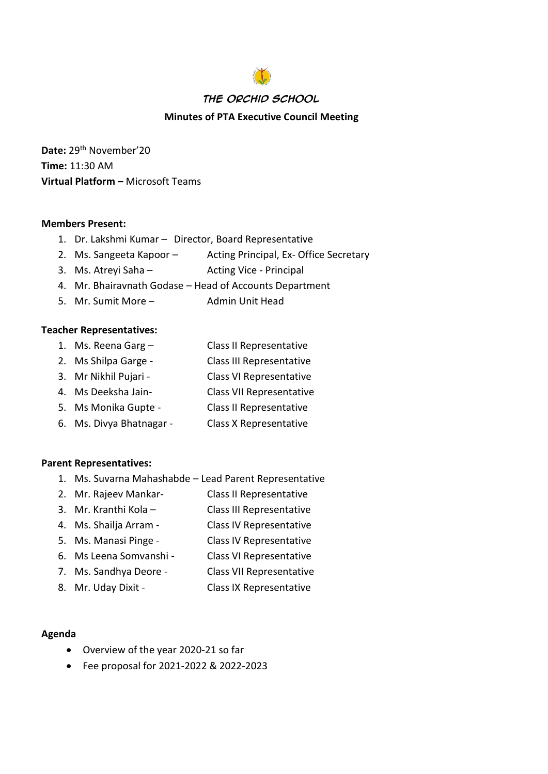# **The Orchid School Minutes of PTA Executive Council Meeting**

**Date:** 29th November'20 **Time:** 11:30 AM **Virtual Platform –** Microsoft Teams

#### **Members Present:**

- 1. Dr. Lakshmi Kumar Director, Board Representative
- 2. Ms. Sangeeta Kapoor Acting Principal, Ex-Office Secretary
- 3. Ms. Atreyi Saha Acting Vice Principal
- 4. Mr. Bhairavnath Godase Head of Accounts Department
- 5. Mr. Sumit More Admin Unit Head

#### **Teacher Representatives:**

- 1. Ms. Reena Garg Class II Representative
- 2. Ms Shilpa Garge Class III Representative
- 3. Mr Nikhil Pujari Class VI Representative
- 4. Ms Deeksha Jain- Class VII Representative
- 5. Ms Monika Gupte Class II Representative
- 6. Ms. Divya Bhatnagar Class X Representative

#### **Parent Representatives:**

- 1. Ms. Suvarna Mahashabde Lead Parent Representative
- 2. Mr. Rajeev Mankar- Class II Representative
- 3. Mr. Kranthi Kola Class III Representative
- 4. Ms. Shailja Arram Class IV Representative
- 5. Ms. Manasi Pinge Class IV Representative
- 6. Ms Leena Somvanshi Class VI Representative
- 7. Ms. Sandhya Deore Class VII Representative
- 8. Mr. Uday Dixit Class IX Representative

#### **Agenda**

- Overview of the year 2020-21 so far
- Fee proposal for 2021-2022 & 2022-2023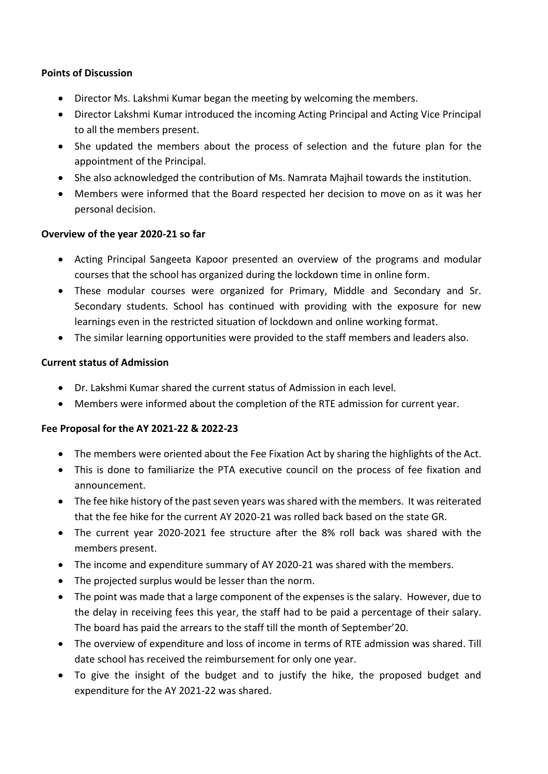## **Points of Discussion**

- Director Ms. Lakshmi Kumar began the meeting by welcoming the members.
- Director Lakshmi Kumar introduced the incoming Acting Principal and Acting Vice Principal to all the members present.
- She updated the members about the process of selection and the future plan for the appointment of the Principal.
- She also acknowledged the contribution of Ms. Namrata Majhail towards the institution.
- Members were informed that the Board respected her decision to move on as it was her personal decision.

### **Overview of the year 2020-21 so far**

- Acting Principal Sangeeta Kapoor presented an overview of the programs and modular courses that the school has organized during the lockdown time in online form.
- These modular courses were organized for Primary, Middle and Secondary and Sr. Secondary students. School has continued with providing with the exposure for new learnings even in the restricted situation of lockdown and online working format.
- The similar learning opportunities were provided to the staff members and leaders also.

### **Current status of Admission**

- Dr. Lakshmi Kumar shared the current status of Admission in each level.
- Members were informed about the completion of the RTE admission for current year.

## **Fee Proposal for the AY 2021-22 & 2022-23**

- The members were oriented about the Fee Fixation Act by sharing the highlights of the Act.
- This is done to familiarize the PTA executive council on the process of fee fixation and announcement.
- The fee hike history of the past seven years was shared with the members. It was reiterated that the fee hike for the current AY 2020-21 was rolled back based on the state GR.
- The current year 2020-2021 fee structure after the 8% roll back was shared with the members present.
- The income and expenditure summary of AY 2020-21 was shared with the members.
- The projected surplus would be lesser than the norm.
- The point was made that a large component of the expenses is the salary. However, due to the delay in receiving fees this year, the staff had to be paid a percentage of their salary. The board has paid the arrears to the staff till the month of September'20.
- The overview of expenditure and loss of income in terms of RTE admission was shared. Till date school has received the reimbursement for only one year.
- To give the insight of the budget and to justify the hike, the proposed budget and expenditure for the AY 2021-22 was shared.